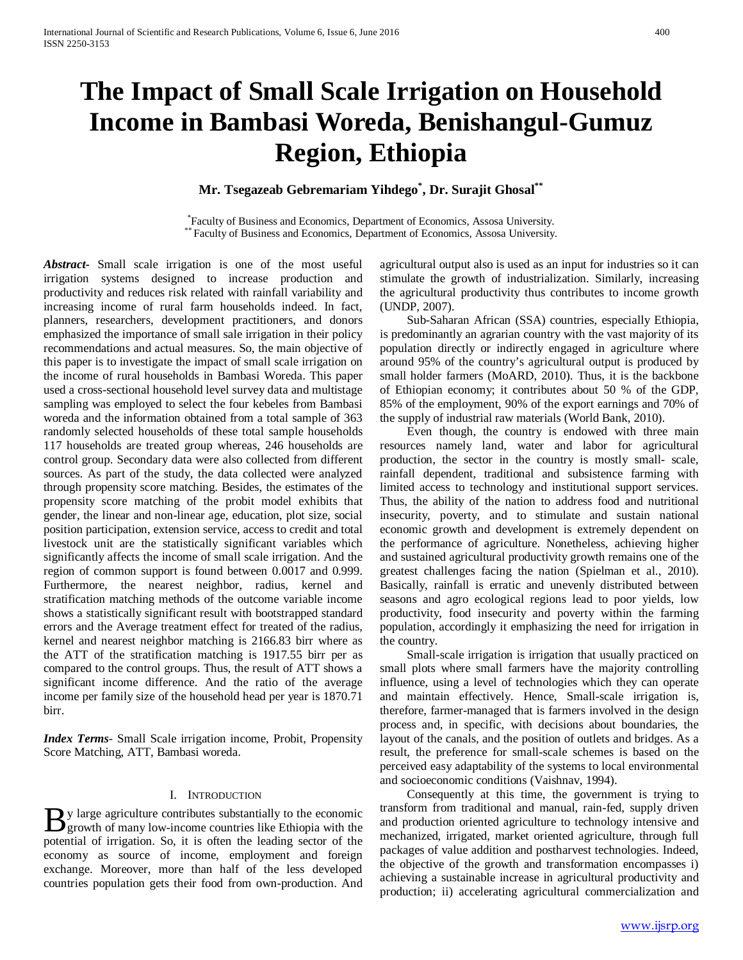# **The Impact of Small Scale Irrigation on Household Income in Bambasi Woreda, Benishangul-Gumuz Region, Ethiopia**

**Mr. Tsegazeab Gebremariam Yihdego\* , Dr. Surajit Ghosal\*\***

\* Faculty of Business and Economics, Department of Economics, Assosa University. \*\* Faculty of Business and Economics, Department of Economics, Assosa University.

*Abstract***-** Small scale irrigation is one of the most useful irrigation systems designed to increase production and productivity and reduces risk related with rainfall variability and increasing income of rural farm households indeed. In fact, planners, researchers, development practitioners, and donors emphasized the importance of small sale irrigation in their policy recommendations and actual measures. So, the main objective of this paper is to investigate the impact of small scale irrigation on the income of rural households in Bambasi Woreda. This paper used a cross-sectional household level survey data and multistage sampling was employed to select the four kebeles from Bambasi woreda and the information obtained from a total sample of 363 randomly selected households of these total sample households 117 households are treated group whereas, 246 households are control group. Secondary data were also collected from different sources. As part of the study, the data collected were analyzed through propensity score matching. Besides, the estimates of the propensity score matching of the probit model exhibits that gender, the linear and non-linear age, education, plot size, social position participation, extension service, access to credit and total livestock unit are the statistically significant variables which significantly affects the income of small scale irrigation. And the region of common support is found between 0.0017 and 0.999. Furthermore, the nearest neighbor, radius, kernel and stratification matching methods of the outcome variable income shows a statistically significant result with bootstrapped standard errors and the Average treatment effect for treated of the radius, kernel and nearest neighbor matching is 2166.83 birr where as the ATT of the stratification matching is 1917.55 birr per as compared to the control groups. Thus, the result of ATT shows a significant income difference. And the ratio of the average income per family size of the household head per year is 1870.71 birr.

*Index Terms*- Small Scale irrigation income, Probit, Propensity Score Matching, ATT, Bambasi woreda.

#### I. INTRODUCTION

y large agriculture contributes substantially to the economic By large agriculture contributes substantially to the economic growth of many low-income countries like Ethiopia with the potential of irrigation. So, it is often the leading sector of the economy as source of income, employment and foreign exchange. Moreover, more than half of the less developed countries population gets their food from own-production. And

agricultural output also is used as an input for industries so it can stimulate the growth of industrialization. Similarly, increasing the agricultural productivity thus contributes to income growth (UNDP, 2007).

 Sub-Saharan African (SSA) countries, especially Ethiopia, is predominantly an agrarian country with the vast majority of its population directly or indirectly engaged in agriculture where around 95% of the country's agricultural output is produced by small holder farmers (MoARD, 2010). Thus, it is the backbone of Ethiopian economy; it contributes about 50 % of the GDP, 85% of the employment, 90% of the export earnings and 70% of the supply of industrial raw materials (World Bank, 2010).

 Even though, the country is endowed with three main resources namely land, water and labor for agricultural production, the sector in the country is mostly small- scale, rainfall dependent, traditional and subsistence farming with limited access to technology and institutional support services. Thus, the ability of the nation to address food and nutritional insecurity, poverty, and to stimulate and sustain national economic growth and development is extremely dependent on the performance of agriculture. Nonetheless, achieving higher and sustained agricultural productivity growth remains one of the greatest challenges facing the nation (Spielman et al., 2010). Basically, rainfall is erratic and unevenly distributed between seasons and agro ecological regions lead to poor yields, low productivity, food insecurity and poverty within the farming population, accordingly it emphasizing the need for irrigation in the country.

 Small-scale irrigation is irrigation that usually practiced on small plots where small farmers have the majority controlling influence, using a level of technologies which they can operate and maintain effectively. Hence, Small-scale irrigation is, therefore, farmer-managed that is farmers involved in the design process and, in specific, with decisions about boundaries, the layout of the canals, and the position of outlets and bridges. As a result, the preference for small-scale schemes is based on the perceived easy adaptability of the systems to local environmental and socioeconomic conditions (Vaishnav, 1994).

 Consequently at this time, the government is trying to transform from traditional and manual, rain-fed, supply driven and production oriented agriculture to technology intensive and mechanized, irrigated, market oriented agriculture, through full packages of value addition and postharvest technologies. Indeed, the objective of the growth and transformation encompasses i) achieving a sustainable increase in agricultural productivity and production; ii) accelerating agricultural commercialization and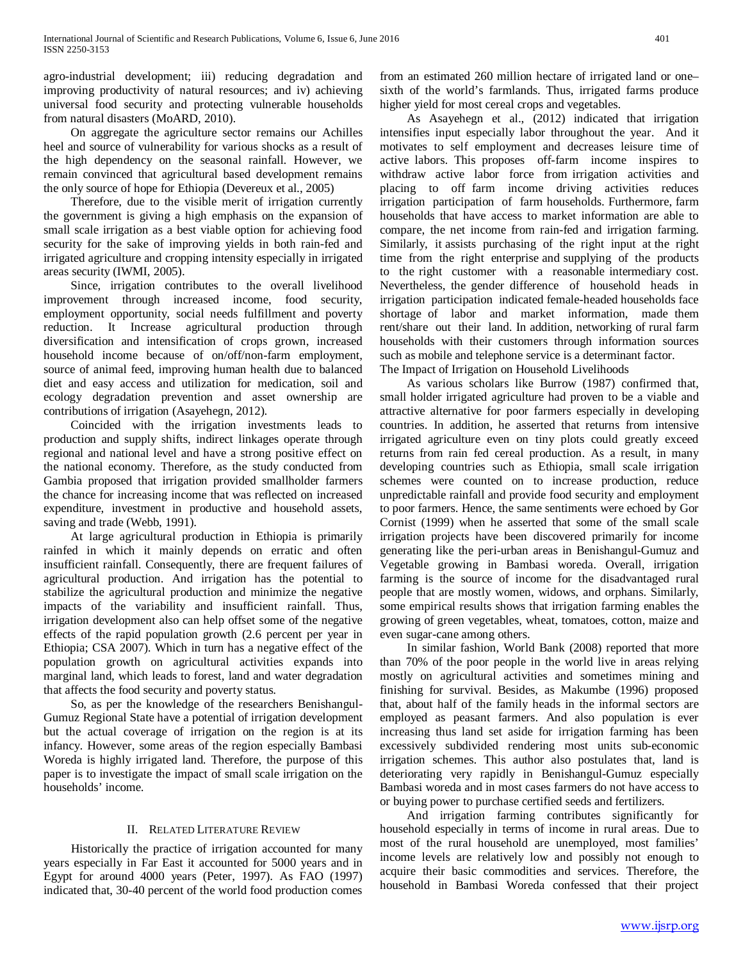agro-industrial development; iii) reducing degradation and improving productivity of natural resources; and iv) achieving universal food security and protecting vulnerable households from natural disasters (MoARD, 2010).

 On aggregate the agriculture sector remains our Achilles heel and source of vulnerability for various shocks as a result of the high dependency on the seasonal rainfall. However, we remain convinced that agricultural based development remains the only source of hope for Ethiopia (Devereux et al., 2005)

 Therefore, due to the visible merit of irrigation currently the government is giving a high emphasis on the expansion of small scale irrigation as a best viable option for achieving food security for the sake of improving yields in both rain-fed and irrigated agriculture and cropping intensity especially in irrigated areas security (IWMI, 2005).

 Since, irrigation contributes to the overall livelihood improvement through increased income, food security, employment opportunity, social needs fulfillment and poverty reduction. It Increase agricultural production through diversification and intensification of crops grown, increased household income because of on/off/non-farm employment, source of animal feed, improving human health due to balanced diet and easy access and utilization for medication, soil and ecology degradation prevention and asset ownership are contributions of irrigation (Asayehegn, 2012).

 Coincided with the irrigation investments leads to production and supply shifts, indirect linkages operate through regional and national level and have a strong positive effect on the national economy. Therefore, as the study conducted from Gambia proposed that irrigation provided smallholder farmers the chance for increasing income that was reflected on increased expenditure, investment in productive and household assets, saving and trade (Webb, 1991).

 At large agricultural production in Ethiopia is primarily rainfed in which it mainly depends on erratic and often insufficient rainfall. Consequently, there are frequent failures of agricultural production. And irrigation has the potential to stabilize the agricultural production and minimize the negative impacts of the variability and insufficient rainfall. Thus, irrigation development also can help offset some of the negative effects of the rapid population growth (2.6 percent per year in Ethiopia; CSA 2007). Which in turn has a negative effect of the population growth on agricultural activities expands into marginal land, which leads to forest, land and water degradation that affects the food security and poverty status.

 So, as per the knowledge of the researchers Benishangul-Gumuz Regional State have a potential of irrigation development but the actual coverage of irrigation on the region is at its infancy. However, some areas of the region especially Bambasi Woreda is highly irrigated land. Therefore, the purpose of this paper is to investigate the impact of small scale irrigation on the households' income.

# II. RELATED LITERATURE REVIEW

 Historically the practice of irrigation accounted for many years especially in Far East it accounted for 5000 years and in Egypt for around 4000 years (Peter, 1997). As FAO (1997) indicated that, 30-40 percent of the world food production comes

from an estimated 260 million hectare of irrigated land or one– sixth of the world's farmlands. Thus, irrigated farms produce higher yield for most cereal crops and vegetables.

 As Asayehegn et al., (2012) indicated that irrigation intensifies input especially labor throughout the year. And it motivates to self employment and decreases leisure time of active labors. This proposes off-farm income inspires to withdraw active labor force from irrigation activities and placing to off farm income driving activities reduces irrigation participation of farm households. Furthermore, farm households that have access to market information are able to compare, the net income from rain-fed and irrigation farming. Similarly, it assists purchasing of the right input at the right time from the right enterprise and supplying of the products to the right customer with a reasonable intermediary cost. Nevertheless, the gender difference of household heads in irrigation participation indicated female-headed households face shortage of labor and market information, made them rent/share out their land. In addition, networking of rural farm households with their customers through information sources such as mobile and telephone service is a determinant factor. The Impact of Irrigation on Household Livelihoods

 As various scholars like Burrow (1987) confirmed that, small holder irrigated agriculture had proven to be a viable and attractive alternative for poor farmers especially in developing countries. In addition, he asserted that returns from intensive irrigated agriculture even on tiny plots could greatly exceed returns from rain fed cereal production. As a result, in many developing countries such as Ethiopia, small scale irrigation schemes were counted on to increase production, reduce unpredictable rainfall and provide food security and employment to poor farmers. Hence, the same sentiments were echoed by Gor Cornist (1999) when he asserted that some of the small scale irrigation projects have been discovered primarily for income generating like the peri-urban areas in Benishangul-Gumuz and Vegetable growing in Bambasi woreda. Overall, irrigation farming is the source of income for the disadvantaged rural people that are mostly women, widows, and orphans. Similarly, some empirical results shows that irrigation farming enables the growing of green vegetables, wheat, tomatoes, cotton, maize and even sugar-cane among others.

 In similar fashion, World Bank (2008) reported that more than 70% of the poor people in the world live in areas relying mostly on agricultural activities and sometimes mining and finishing for survival. Besides, as Makumbe (1996) proposed that, about half of the family heads in the informal sectors are employed as peasant farmers. And also population is ever increasing thus land set aside for irrigation farming has been excessively subdivided rendering most units sub-economic irrigation schemes. This author also postulates that, land is deteriorating very rapidly in Benishangul-Gumuz especially Bambasi woreda and in most cases farmers do not have access to or buying power to purchase certified seeds and fertilizers.

 And irrigation farming contributes significantly for household especially in terms of income in rural areas. Due to most of the rural household are unemployed, most families' income levels are relatively low and possibly not enough to acquire their basic commodities and services. Therefore, the household in Bambasi Woreda confessed that their project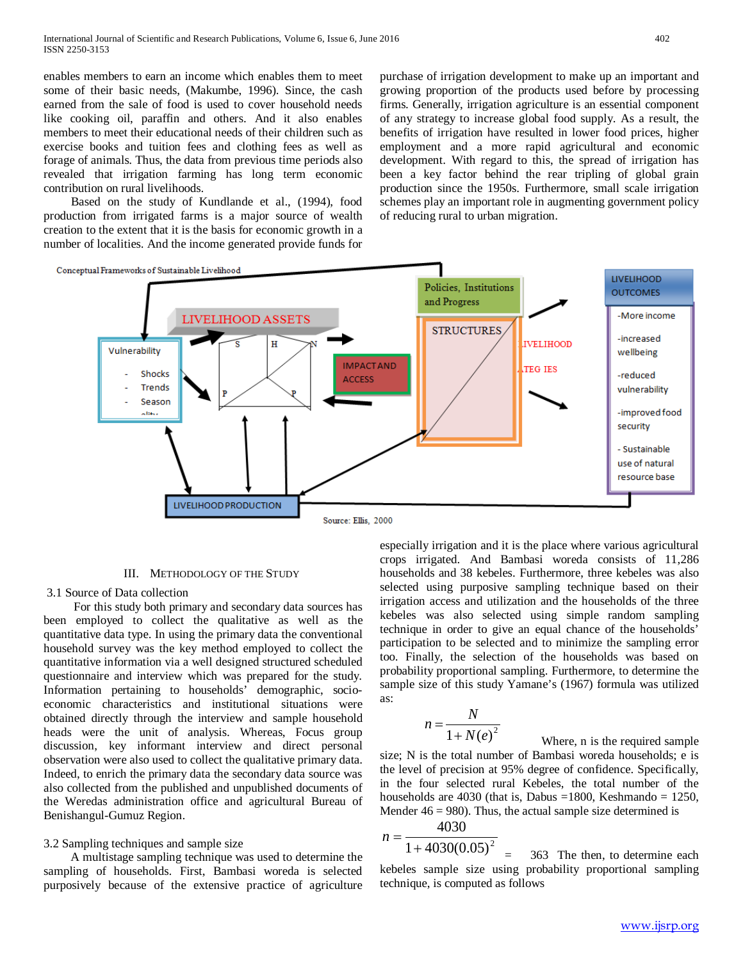enables members to earn an income which enables them to meet some of their basic needs, (Makumbe, 1996). Since, the cash earned from the sale of food is used to cover household needs like cooking oil, paraffin and others. And it also enables members to meet their educational needs of their children such as exercise books and tuition fees and clothing fees as well as forage of animals. Thus, the data from previous time periods also revealed that irrigation farming has long term economic contribution on rural livelihoods.

 Based on the study of Kundlande et al., (1994), food production from irrigated farms is a major source of wealth creation to the extent that it is the basis for economic growth in a number of localities. And the income generated provide funds for purchase of irrigation development to make up an important and growing proportion of the products used before by processing firms. Generally, irrigation agriculture is an essential component of any strategy to increase global food supply. As a result, the benefits of irrigation have resulted in lower food prices, higher employment and a more rapid agricultural and economic development. With regard to this, the spread of irrigation has been a key factor behind the rear tripling of global grain production since the 1950s. Furthermore, small scale irrigation schemes play an important role in augmenting government policy of reducing rural to urban migration.



## III. METHODOLOGY OF THE STUDY

## 3.1 Source of Data collection

 For this study both primary and secondary data sources has been employed to collect the qualitative as well as the quantitative data type. In using the primary data the conventional household survey was the key method employed to collect the quantitative information via a well designed structured scheduled questionnaire and interview which was prepared for the study. Information pertaining to households' demographic, socioeconomic characteristics and institutional situations were obtained directly through the interview and sample household heads were the unit of analysis. Whereas, Focus group discussion, key informant interview and direct personal observation were also used to collect the qualitative primary data. Indeed, to enrich the primary data the secondary data source was also collected from the published and unpublished documents of the Weredas administration office and agricultural Bureau of Benishangul-Gumuz Region.

#### 3.2 Sampling techniques and sample size

 A multistage sampling technique was used to determine the sampling of households. First, Bambasi woreda is selected purposively because of the extensive practice of agriculture especially irrigation and it is the place where various agricultural crops irrigated. And Bambasi woreda consists of 11,286 households and 38 kebeles. Furthermore, three kebeles was also selected using purposive sampling technique based on their irrigation access and utilization and the households of the three kebeles was also selected using simple random sampling technique in order to give an equal chance of the households' participation to be selected and to minimize the sampling error too. Finally, the selection of the households was based on probability proportional sampling. Furthermore, to determine the sample size of this study Yamane's (1967) formula was utilized as:

$$
n = \frac{N}{1 + N(e)^2}
$$

 Where, n is the required sample size; N is the total number of Bambasi woreda households; e is the level of precision at 95% degree of confidence. Specifically, in the four selected rural Kebeles, the total number of the households are 4030 (that is, Dabus  $=1800$ , Keshmando  $= 1250$ , Mender  $46 = 980$ ). Thus, the actual sample size determined is

$$
n = \frac{4030}{1 + 4030(0.05)^2}
$$

363 The then, to determine each kebeles sample size using probability proportional sampling technique, is computed as follows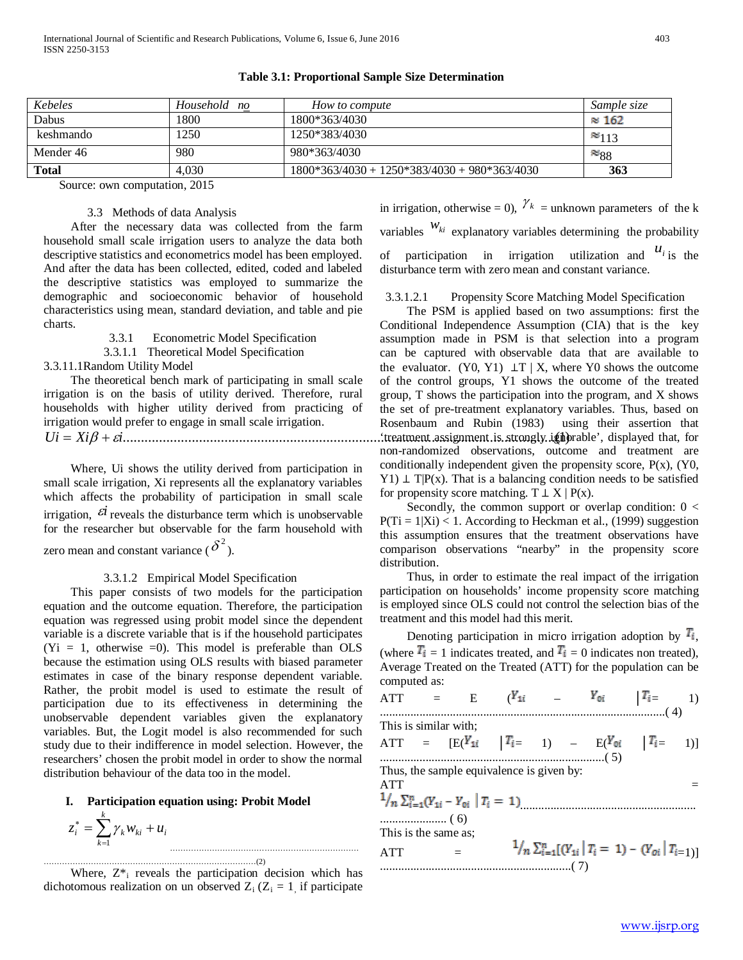| Kebeles      | Household<br>no | How to compute                               | Sample size   |
|--------------|-----------------|----------------------------------------------|---------------|
| Dabus        | 1800            | 1800*363/4030                                | $\approx 162$ |
| keshmando    | 1250            | 1250*383/4030                                | $\approx$ 113 |
| Mender 46    | 980             | 980*363/4030                                 | $\approx 88$  |
| <b>Total</b> | 4.030           | 1800*363/4030 + 1250*383/4030 + 980*363/4030 | 363           |

## **Table 3.1: Proportional Sample Size Determination**

Source: own computation, 2015

## 3.3 Methods of data Analysis

 After the necessary data was collected from the farm household small scale irrigation users to analyze the data both descriptive statistics and econometrics model has been employed. And after the data has been collected, edited, coded and labeled the descriptive statistics was employed to summarize the demographic and socioeconomic behavior of household characteristics using mean, standard deviation, and table and pie charts.

3.3.1 Econometric Model Specification

3.3.1.1 Theoretical Model Specification

3.3.11.1Random Utility Model

 The theoretical bench mark of participating in small scale irrigation is on the basis of utility derived. Therefore, rural households with higher utility derived from practicing of irrigation would prefer to engage in small scale irrigation. *Ui* = *Xi*β + <sup>ε</sup>*i*.......................................................................................................................(1)

 Where, Ui shows the utility derived from participation in small scale irrigation, Xi represents all the explanatory variables which affects the probability of participation in small scale irrigation,  $\vec{e}$  reveals the disturbance term which is unobservable for the researcher but observable for the farm household with

zero mean and constant variance ( $\delta^2$ ).

## 3.3.1.2 Empirical Model Specification

 This paper consists of two models for the participation equation and the outcome equation. Therefore, the participation equation was regressed using probit model since the dependent variable is a discrete variable that is if the household participates  $(Y_i = 1$ , otherwise  $= 0$ ). This model is preferable than OLS because the estimation using OLS results with biased parameter estimates in case of the binary response dependent variable. Rather, the probit model is used to estimate the result of participation due to its effectiveness in determining the unobservable dependent variables given the explanatory variables. But, the Logit model is also recommended for such study due to their indifference in model selection. However, the researchers' chosen the probit model in order to show the normal distribution behaviour of the data too in the model.

#### **I. Participation equation using: Probit Model**

$$
z_i^* = \sum_{k=1}^k \gamma_k w_{ki} + u_i
$$

………………………………………………………………………(2) Where,  $Z^*$  reveals the participation decision which has dichotomous realization on un observed  $Z_i$  ( $Z_i = 1$ , if participate in irrigation, otherwise = 0),  $\chi_k$  = unknown parameters of the k variables  $W_{ki}$  explanatory variables determining the probability of participation in irrigation utilization and  $u_i$  is the disturbance term with zero mean and constant variance.

## 3.3.1.2.1 Propensity Score Matching Model Specification

 The PSM is applied based on two assumptions: first the Conditional Independence Assumption (CIA) that is the key assumption made in PSM is that selection into a program can be captured with observable data that are available to the evaluator. (Y0, Y1)  $\perp T \mid X$ , where Y0 shows the outcome of the control groups, Y1 shows the outcome of the treated group, T shows the participation into the program, and X shows the set of pre-treatment explanatory variables. Thus, based on Rosenbaum and Rubin (1983) using their assertion that . treatment assignment is strongly ignorable', displayed that, for non-randomized observations, outcome and treatment are conditionally independent given the propensity score, P(x), (Y0, Y1)  $\perp$  T|P(x). That is a balancing condition needs to be satisfied for propensity score matching.  $T \perp X \mid P(x)$ .

Secondly, the common support or overlap condition:  $0 <$  $P(Ti = 1|Xi) < 1$ . According to Heckman et al., (1999) suggestion this assumption ensures that the treatment observations have comparison observations "nearby" in the propensity score distribution.

 Thus, in order to estimate the real impact of the irrigation participation on households' income propensity score matching is employed since OLS could not control the selection bias of the treatment and this model had this merit.

Denoting participation in micro irrigation adoption by  $\mathbb{F}_{i}$ , (where  $\mathbf{T_i} = 1$  indicates treated, and  $\mathbf{T_i} = 0$  indicates non treated), Average Treated on the Treated (ATT) for the population can be computed as:

ATT = E 
$$
(Y_{1i}
$$
 - <sup>Y</sup>0i |<sup>T</sup><sub>i</sub> = 1)  
................. (4)

ATT = [E( │ = 1) – E( │ = 1)] ..........................................................................( 5)

Thus, the sample equivalence is given by:

This is similar with:

| <b>ATT</b>           |                                                                      |
|----------------------|----------------------------------------------------------------------|
|                      | $\frac{1}{n} \sum_{i=1}^{n} (Y_{1i} - Y_{0i}   T_i = 1)$ [1]         |
|                      |                                                                      |
| This is the same as; |                                                                      |
| <b>ATT</b>           | $\frac{1}{n} \sum_{i=1}^n [(Y_{1i}   T_i = 1) - (Y_{0i}   T_{i-1})]$ |
|                      |                                                                      |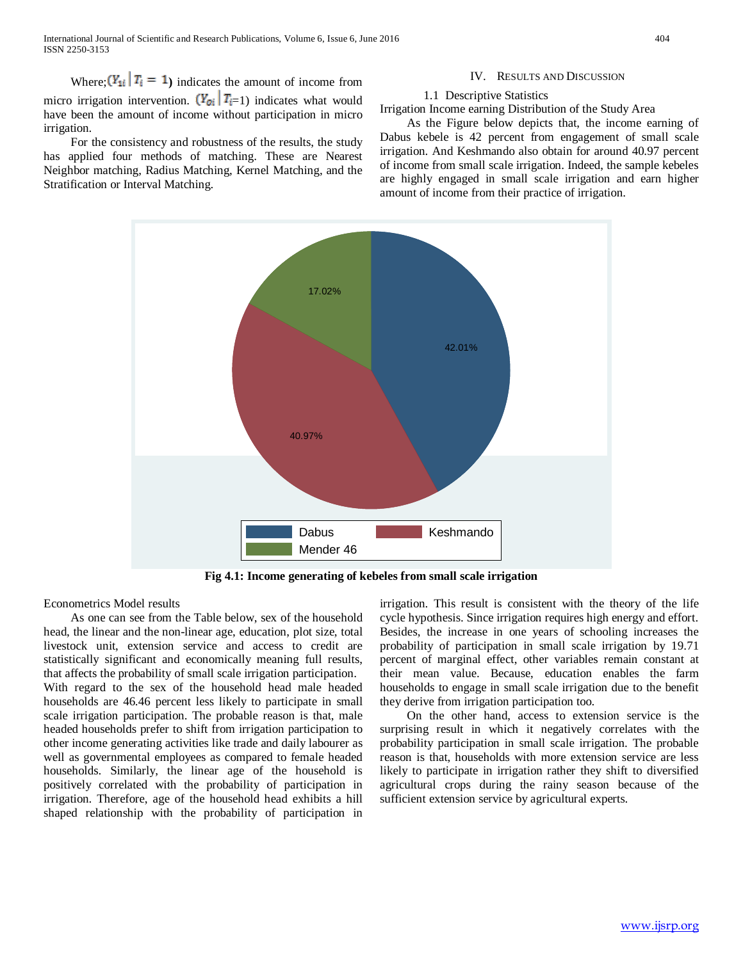International Journal of Scientific and Research Publications, Volume 6, Issue 6, June 2016 404 ISSN 2250-3153

Where;  $(Y_{1i} | T_i = 1)$  indicates the amount of income from micro irrigation intervention.  $(\mathbf{Y}_{0i} | \mathbf{T}_{i=1})$  indicates what would have been the amount of income without participation in micro irrigation.

 For the consistency and robustness of the results, the study has applied four methods of matching. These are Nearest Neighbor matching, Radius Matching, Kernel Matching, and the Stratification or Interval Matching.

#### IV. RESULTS AND DISCUSSION

#### 1.1 Descriptive Statistics

#### Irrigation Income earning Distribution of the Study Area

 As the Figure below depicts that, the income earning of Dabus kebele is 42 percent from engagement of small scale irrigation. And Keshmando also obtain for around 40.97 percent of income from small scale irrigation. Indeed, the sample kebeles are highly engaged in small scale irrigation and earn higher amount of income from their practice of irrigation.



**Fig 4.1: Income generating of kebeles from small scale irrigation**

Econometrics Model results

 As one can see from the Table below, sex of the household head, the linear and the non-linear age, education, plot size, total livestock unit, extension service and access to credit are statistically significant and economically meaning full results, that affects the probability of small scale irrigation participation. With regard to the sex of the household head male headed households are 46.46 percent less likely to participate in small scale irrigation participation. The probable reason is that, male headed households prefer to shift from irrigation participation to other income generating activities like trade and daily labourer as well as governmental employees as compared to female headed households. Similarly, the linear age of the household is positively correlated with the probability of participation in irrigation. Therefore, age of the household head exhibits a hill shaped relationship with the probability of participation in irrigation. This result is consistent with the theory of the life cycle hypothesis. Since irrigation requires high energy and effort. Besides, the increase in one years of schooling increases the probability of participation in small scale irrigation by 19.71 percent of marginal effect, other variables remain constant at their mean value. Because, education enables the farm households to engage in small scale irrigation due to the benefit they derive from irrigation participation too.

 On the other hand, access to extension service is the surprising result in which it negatively correlates with the probability participation in small scale irrigation. The probable reason is that, households with more extension service are less likely to participate in irrigation rather they shift to diversified agricultural crops during the rainy season because of the sufficient extension service by agricultural experts.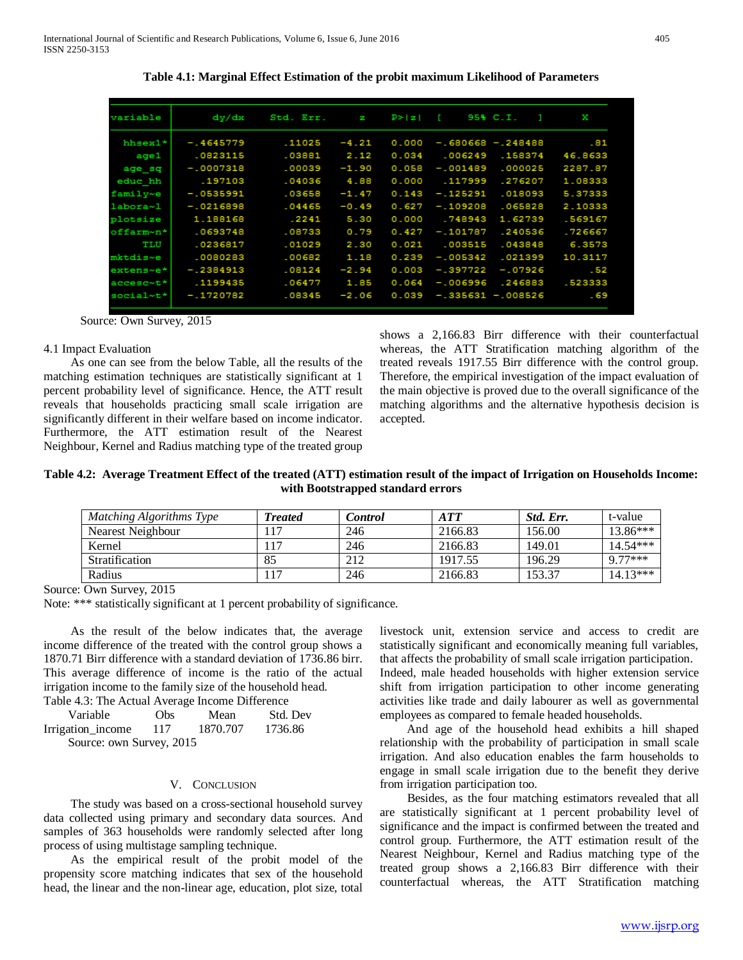| variable      | dy/dx       | Std. Err. | Ñ       | P >  z | T.         | 95% C.I.             | x       |
|---------------|-------------|-----------|---------|--------|------------|----------------------|---------|
| hhsex1*       | $-.4645779$ | .11025    | $-4.21$ | 0.000  |            | $-.680668 - .248488$ | .81     |
| aqe1          | .0823115    | .03881    | 2.12    | 0.034  | .006249    | .158374              | 46.8633 |
| age sq        | $-.0007318$ | .00039    | $-1.90$ | 0.058  | $-.001489$ | .000025              | 2287.87 |
| educ hh       | .197103     | .04036    | 4.88    | 0.000  | .117999    | .276207              | 1.08333 |
| family~e      | $-0535991$  | .03658    | $-1.47$ | 0.143  | $-.125291$ | .018093              | 5.37333 |
| labora~1      | $-0216898$  | .04465    | $-0.49$ | 0.627  | $-.109208$ | .065828              | 2.10333 |
| plotsize      | 1.188168    | $-2241$   | 5.30    | 0.000  | .748943    | 1.62739              | .569167 |
| offarm~n*     | .0693748    | .08733    | 0.79    | 0.427  | $-.101787$ | .240536              | .726667 |
| TLU           | .0236817    | .01029    | 2.30    | 0.021  | .003515    | .043848              | 6.3573  |
| mktdis~e      | .0080283    | .00682    | 1.18    | 0.239  | $-.005342$ | .021399              | 10.3117 |
| extens~e*     | $-.2384913$ | .08124    | $-2.94$ | 0.003  | $-.397722$ | $-.07926$            | .52     |
| $accessc$ ~t* | .1199435    | .06477    | 1.85    | 0.064  | $-.006996$ | .246883              | .523333 |
| social~t*     | $-.1720782$ | .08345    | $-2.06$ | 0.039  |            | $-.335631 - .008526$ | - 69    |
|               |             |           |         |        |            |                      |         |

**Table 4.1: Marginal Effect Estimation of the probit maximum Likelihood of Parameters**

Source: Own Survey, 2015

#### 4.1 Impact Evaluation

 As one can see from the below Table, all the results of the matching estimation techniques are statistically significant at 1 percent probability level of significance. Hence, the ATT result reveals that households practicing small scale irrigation are significantly different in their welfare based on income indicator. Furthermore, the ATT estimation result of the Nearest Neighbour, Kernel and Radius matching type of the treated group shows a 2,166.83 Birr difference with their counterfactual whereas, the ATT Stratification matching algorithm of the treated reveals 1917.55 Birr difference with the control group. Therefore, the empirical investigation of the impact evaluation of the main objective is proved due to the overall significance of the matching algorithms and the alternative hypothesis decision is accepted.

## **Table 4.2: Average Treatment Effect of the treated (ATT) estimation result of the impact of Irrigation on Households Income: with Bootstrapped standard errors**

| Matching Algorithms Type | <b>Treated</b> | Control | A TT    | Std. Err. | t-value    |
|--------------------------|----------------|---------|---------|-----------|------------|
| Nearest Neighbour        |                | 246     | 2166.83 | 156.00    | $13.86***$ |
| Kernel                   |                | 246     | 2166.83 | 149.01    | $14.54***$ |
| <b>Stratification</b>    | 85             | 212     | 1917.55 | 196.29    | $977***$   |
| Radius                   |                | 246     | 2166.83 | 153.37    | $14.13***$ |

Source: Own Survey, 2015

Note: \*\*\* statistically significant at 1 percent probability of significance.

 As the result of the below indicates that, the average income difference of the treated with the control group shows a 1870.71 Birr difference with a standard deviation of 1736.86 birr. This average difference of income is the ratio of the actual irrigation income to the family size of the household head. Table 4.3: The Actual Average Income Difference

 Variable Obs Mean Std. Dev Irrigation income 117 1870.707 1736.86 Source: own Survey, 2015

## V. CONCLUSION

 The study was based on a cross-sectional household survey data collected using primary and secondary data sources. And samples of 363 households were randomly selected after long process of using multistage sampling technique.

 As the empirical result of the probit model of the propensity score matching indicates that sex of the household head, the linear and the non-linear age, education, plot size, total

livestock unit, extension service and access to credit are statistically significant and economically meaning full variables, that affects the probability of small scale irrigation participation.

Indeed, male headed households with higher extension service shift from irrigation participation to other income generating activities like trade and daily labourer as well as governmental employees as compared to female headed households.

 And age of the household head exhibits a hill shaped relationship with the probability of participation in small scale irrigation. And also education enables the farm households to engage in small scale irrigation due to the benefit they derive from irrigation participation too.

 Besides, as the four matching estimators revealed that all are statistically significant at 1 percent probability level of significance and the impact is confirmed between the treated and control group. Furthermore, the ATT estimation result of the Nearest Neighbour, Kernel and Radius matching type of the treated group shows a 2,166.83 Birr difference with their counterfactual whereas, the ATT Stratification matching